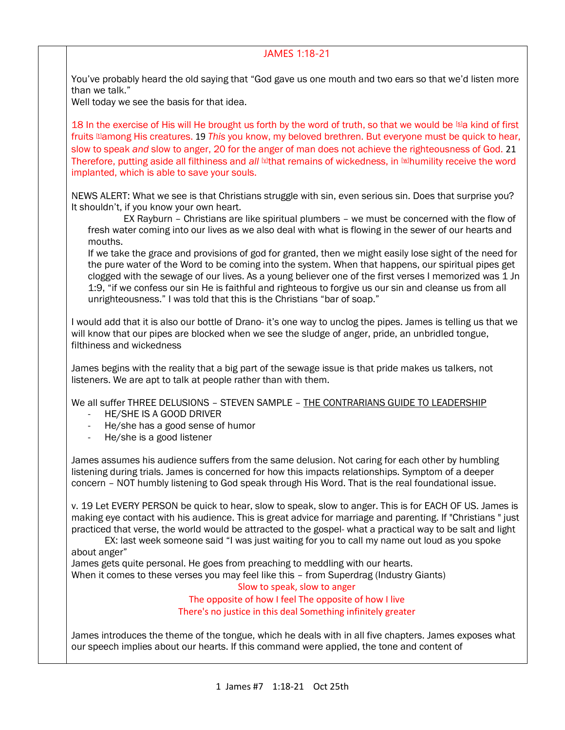## JAMES 1:18-21

You've probably heard the old saying that "God gave us one mouth and two ears so that we'd listen more than we talk."

Well today we see the basis for that idea.

18 In the exercise of His will He brought us forth by the word of truth, so that we would be [\[s\]](https://www.biblegateway.com/passage/?search=jAMES+1&version=NASB#fen-NASB-30285s)a kind of first fruits [\[t\]](https://www.biblegateway.com/passage/?search=jAMES+1&version=NASB#fen-NASB-30285t)among His creatures. 19 *This* you know, my beloved brethren. But everyone must be quick to hear, slow to speak *and* slow to anger, 20 for the anger of man does not achieve the righteousness of God. 21 Therefore, putting aside all filthiness and all **W**that remains of wickedness, in **Whumility receive the word** implanted, which is able to save your souls.

NEWS ALERT: What we see is that Christians struggle with sin, even serious sin. Does that surprise you? It shouldn't, if you know your own heart.

 EX Rayburn – Christians are like spiritual plumbers – we must be concerned with the flow of fresh water coming into our lives as we also deal with what is flowing in the sewer of our hearts and mouths.

If we take the grace and provisions of god for granted, then we might easily lose sight of the need for the pure water of the Word to be coming into the system. When that happens, our spiritual pipes get clogged with the sewage of our lives. As a young believer one of the first verses I memorized was 1 Jn 1:9, "if we confess our sin He is faithful and righteous to forgive us our sin and cleanse us from all unrighteousness." I was told that this is the Christians "bar of soap."

I would add that it is also our bottle of Drano- it's one way to unclog the pipes. James is telling us that we will know that our pipes are blocked when we see the sludge of anger, pride, an unbridled tongue, filthiness and wickedness

James begins with the reality that a big part of the sewage issue is that pride makes us talkers, not listeners. We are apt to talk at people rather than with them.

We all suffer THREE DELUSIONS – STEVEN SAMPLE – THE CONTRARIANS GUIDE TO LEADERSHIP

- HE/SHE IS A GOOD DRIVER
- He/she has a good sense of humor
- He/she is a good listener

James assumes his audience suffers from the same delusion. Not caring for each other by humbling listening during trials. James is concerned for how this impacts relationships. Symptom of a deeper concern – NOT humbly listening to God speak through His Word. That is the real foundational issue.

v. 19 Let EVERY PERSON be quick to hear, slow to speak, slow to anger. This is for EACH OF US. James is making eye contact with his audience. This is great advice for marriage and parenting. If "Christians " just practiced that verse, the world would be attracted to the gospel- what a practical way to be salt and light

EX: last week someone said "I was just waiting for you to call my name out loud as you spoke about anger"

James gets quite personal. He goes from preaching to meddling with our hearts.

When it comes to these verses you may feel like this – from Superdrag (Industry Giants)

Slow to speak, slow to anger

The opposite of how I feel The opposite of how I live There's no justice in this deal Something infinitely greater

James introduces the theme of the tongue, which he deals with in all five chapters. James exposes what our speech implies about our hearts. If this command were applied, the tone and content of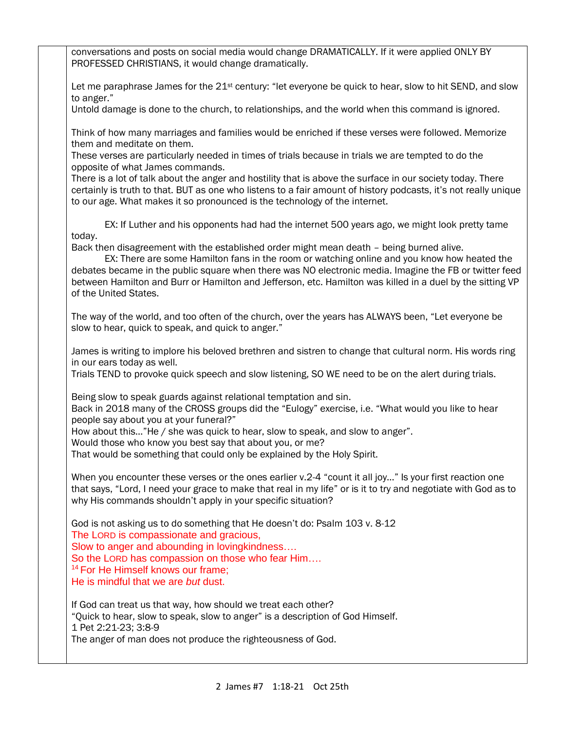| conversations and posts on social media would change DRAMATICALLY. If it were applied ONLY BY<br>PROFESSED CHRISTIANS, it would change dramatically.                                                                                                                                                                                                                                                                                    |
|-----------------------------------------------------------------------------------------------------------------------------------------------------------------------------------------------------------------------------------------------------------------------------------------------------------------------------------------------------------------------------------------------------------------------------------------|
| Let me paraphrase James for the 21 <sup>st</sup> century: "let everyone be quick to hear, slow to hit SEND, and slow<br>to anger."                                                                                                                                                                                                                                                                                                      |
| Untold damage is done to the church, to relationships, and the world when this command is ignored.                                                                                                                                                                                                                                                                                                                                      |
| Think of how many marriages and families would be enriched if these verses were followed. Memorize<br>them and meditate on them.                                                                                                                                                                                                                                                                                                        |
| These verses are particularly needed in times of trials because in trials we are tempted to do the<br>opposite of what James commands.                                                                                                                                                                                                                                                                                                  |
| There is a lot of talk about the anger and hostility that is above the surface in our society today. There<br>certainly is truth to that. BUT as one who listens to a fair amount of history podcasts, it's not really unique<br>to our age. What makes it so pronounced is the technology of the internet.                                                                                                                             |
| EX: If Luther and his opponents had had the internet 500 years ago, we might look pretty tame<br>today.                                                                                                                                                                                                                                                                                                                                 |
| Back then disagreement with the established order might mean death - being burned alive.<br>EX: There are some Hamilton fans in the room or watching online and you know how heated the<br>debates became in the public square when there was NO electronic media. Imagine the FB or twitter feed<br>between Hamilton and Burr or Hamilton and Jefferson, etc. Hamilton was killed in a duel by the sitting VP<br>of the United States. |
| The way of the world, and too often of the church, over the years has ALWAYS been, "Let everyone be<br>slow to hear, quick to speak, and quick to anger."                                                                                                                                                                                                                                                                               |
| James is writing to implore his beloved brethren and sistren to change that cultural norm. His words ring<br>in our ears today as well.<br>Trials TEND to provoke quick speech and slow listening, SO WE need to be on the alert during trials.                                                                                                                                                                                         |
| Being slow to speak guards against relational temptation and sin.<br>Back in 2018 many of the CROSS groups did the "Eulogy" exercise, i.e. "What would you like to hear<br>people say about you at your funeral?"<br>How about this"He / she was quick to hear, slow to speak, and slow to anger".                                                                                                                                      |
| Would those who know you best say that about you, or me?<br>That would be something that could only be explained by the Holy Spirit.                                                                                                                                                                                                                                                                                                    |
| When you encounter these verses or the ones earlier v.2-4 "count it all joy" Is your first reaction one<br>that says, "Lord, I need your grace to make that real in my life" or is it to try and negotiate with God as to<br>why His commands shouldn't apply in your specific situation?                                                                                                                                               |
| God is not asking us to do something that He doesn't do: Psalm 103 v. 8-12<br>The LORD is compassionate and gracious,<br>Slow to anger and abounding in lovingkindness<br>So the LORD has compassion on those who fear Him<br><sup>14</sup> For He Himself knows our frame;<br>He is mindful that we are but dust.                                                                                                                      |
| If God can treat us that way, how should we treat each other?<br>"Quick to hear, slow to speak, slow to anger" is a description of God Himself.<br>1 Pet 2:21-23; 3:8-9<br>The anger of man does not produce the righteousness of God.                                                                                                                                                                                                  |
|                                                                                                                                                                                                                                                                                                                                                                                                                                         |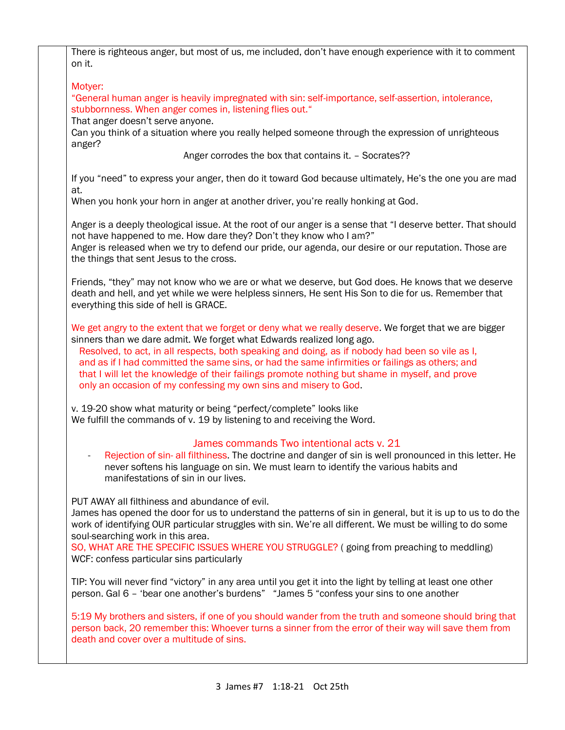| There is righteous anger, but most of us, me included, don't have enough experience with it to comment<br>on it.                                                                                                                                                                                                                                                                                                                                                                                                                                            |
|-------------------------------------------------------------------------------------------------------------------------------------------------------------------------------------------------------------------------------------------------------------------------------------------------------------------------------------------------------------------------------------------------------------------------------------------------------------------------------------------------------------------------------------------------------------|
| Motyer:                                                                                                                                                                                                                                                                                                                                                                                                                                                                                                                                                     |
| "General human anger is heavily impregnated with sin: self-importance, self-assertion, intolerance,<br>stubbornness. When anger comes in, listening flies out."                                                                                                                                                                                                                                                                                                                                                                                             |
| That anger doesn't serve anyone.<br>Can you think of a situation where you really helped someone through the expression of unrighteous<br>anger?                                                                                                                                                                                                                                                                                                                                                                                                            |
| Anger corrodes the box that contains it. - Socrates??                                                                                                                                                                                                                                                                                                                                                                                                                                                                                                       |
| If you "need" to express your anger, then do it toward God because ultimately, He's the one you are mad<br>at.                                                                                                                                                                                                                                                                                                                                                                                                                                              |
| When you honk your horn in anger at another driver, you're really honking at God.                                                                                                                                                                                                                                                                                                                                                                                                                                                                           |
| Anger is a deeply theological issue. At the root of our anger is a sense that "I deserve better. That should<br>not have happened to me. How dare they? Don't they know who I am?"                                                                                                                                                                                                                                                                                                                                                                          |
| Anger is released when we try to defend our pride, our agenda, our desire or our reputation. Those are<br>the things that sent Jesus to the cross.                                                                                                                                                                                                                                                                                                                                                                                                          |
| Friends, "they" may not know who we are or what we deserve, but God does. He knows that we deserve<br>death and hell, and yet while we were helpless sinners, He sent His Son to die for us. Remember that<br>everything this side of hell is GRACE.                                                                                                                                                                                                                                                                                                        |
| We get angry to the extent that we forget or deny what we really deserve. We forget that we are bigger<br>sinners than we dare admit. We forget what Edwards realized long ago.<br>Resolved, to act, in all respects, both speaking and doing, as if nobody had been so vile as I,<br>and as if I had committed the same sins, or had the same infirmities or failings as others; and<br>that I will let the knowledge of their failings promote nothing but shame in myself, and prove<br>only an occasion of my confessing my own sins and misery to God. |
| v. 19-20 show what maturity or being "perfect/complete" looks like<br>We fulfill the commands of v. 19 by listening to and receiving the Word.                                                                                                                                                                                                                                                                                                                                                                                                              |
| James commands Two intentional acts v. 21                                                                                                                                                                                                                                                                                                                                                                                                                                                                                                                   |
| Rejection of sin- all filthiness. The doctrine and danger of sin is well pronounced in this letter. He<br>never softens his language on sin. We must learn to identify the various habits and<br>manifestations of sin in our lives.                                                                                                                                                                                                                                                                                                                        |
| PUT AWAY all filthiness and abundance of evil.<br>James has opened the door for us to understand the patterns of sin in general, but it is up to us to do the<br>work of identifying OUR particular struggles with sin. We're all different. We must be willing to do some<br>soul-searching work in this area.                                                                                                                                                                                                                                             |
| SO, WHAT ARE THE SPECIFIC ISSUES WHERE YOU STRUGGLE? (going from preaching to meddling)<br>WCF: confess particular sins particularly                                                                                                                                                                                                                                                                                                                                                                                                                        |
| TIP: You will never find "victory" in any area until you get it into the light by telling at least one other<br>person. Gal 6 - 'bear one another's burdens" "James 5 "confess your sins to one another                                                                                                                                                                                                                                                                                                                                                     |
| 5:19 My brothers and sisters, if one of you should wander from the truth and someone should bring that<br>person back, 20 remember this: Whoever turns a sinner from the error of their way will save them from<br>death and cover over a multitude of sins.                                                                                                                                                                                                                                                                                                |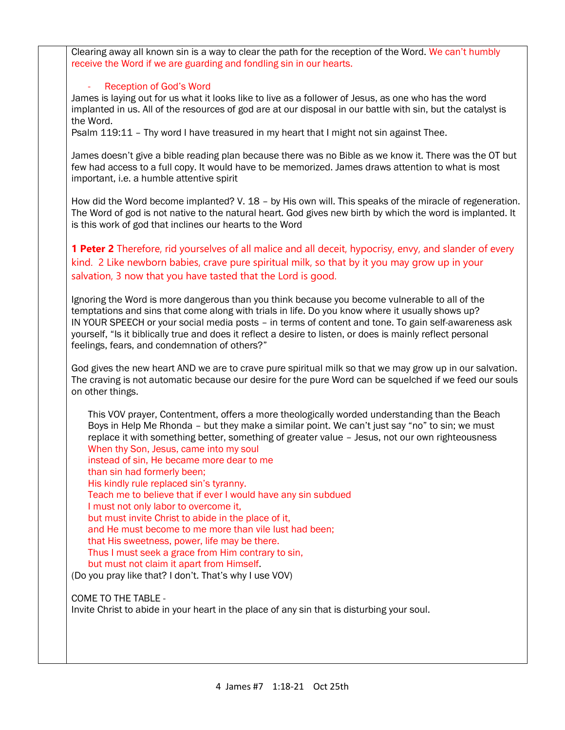Clearing away all known sin is a way to clear the path for the reception of the Word. We can't humbly receive the Word if we are guarding and fondling sin in our hearts.

## Reception of God's Word

James is laying out for us what it looks like to live as a follower of Jesus, as one who has the word implanted in us. All of the resources of god are at our disposal in our battle with sin, but the catalyst is the Word.

Psalm 119:11 – Thy word I have treasured in my heart that I might not sin against Thee.

James doesn't give a bible reading plan because there was no Bible as we know it. There was the OT but few had access to a full copy. It would have to be memorized. James draws attention to what is most important, i.e. a humble attentive spirit

How did the Word become implanted? V. 18 – by His own will. This speaks of the miracle of regeneration. The Word of god is not native to the natural heart. God gives new birth by which the word is implanted. It is this work of god that inclines our hearts to the Word

**1 Peter 2** Therefore, rid yourselves of all malice and all deceit, hypocrisy, envy, and slander of every kind. 2 Like newborn babies, crave pure spiritual milk, so that by it you may grow up in your salvation, 3 now that you have tasted that the Lord is good.

Ignoring the Word is more dangerous than you think because you become vulnerable to all of the temptations and sins that come along with trials in life. Do you know where it usually shows up? IN YOUR SPEECH or your social media posts – in terms of content and tone. To gain self-awareness ask yourself, "Is it biblically true and does it reflect a desire to listen, or does is mainly reflect personal feelings, fears, and condemnation of others?"

God gives the new heart AND we are to crave pure spiritual milk so that we may grow up in our salvation. The craving is not automatic because our desire for the pure Word can be squelched if we feed our souls on other things.

This VOV prayer, Contentment, offers a more theologically worded understanding than the Beach Boys in Help Me Rhonda – but they make a similar point. We can't just say "no" to sin; we must replace it with something better, something of greater value – Jesus, not our own righteousness When thy Son, Jesus, came into my soul instead of sin, He became more dear to me than sin had formerly been; His kindly rule replaced sin's tyranny. Teach me to believe that if ever I would have any sin subdued I must not only labor to overcome it, but must invite Christ to abide in the place of it, and He must become to me more than vile lust had been; that His sweetness, power, life may be there. Thus I must seek a grace from Him contrary to sin, but must not claim it apart from Himself.

(Do you pray like that? I don't. That's why I use VOV)

COME TO THE TABLE - Invite Christ to abide in your heart in the place of any sin that is disturbing your soul.